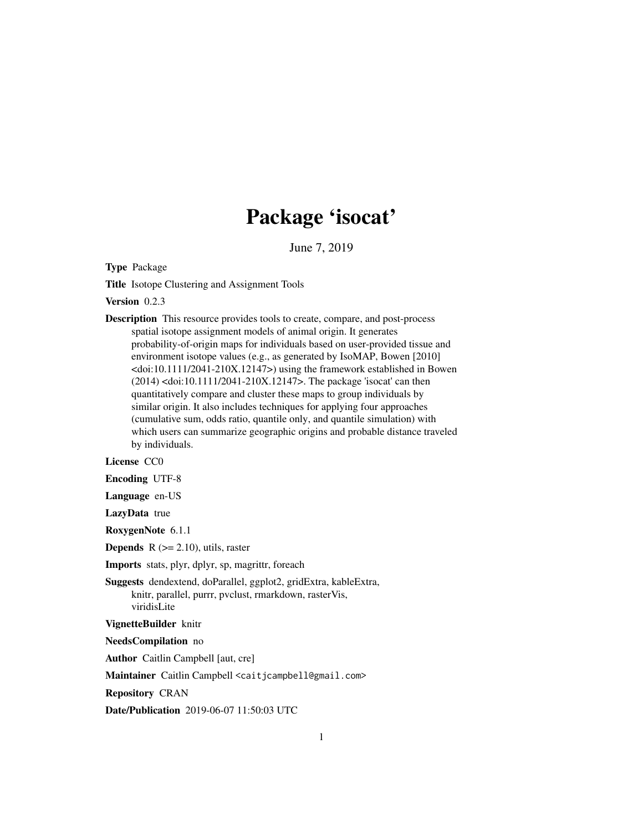## Package 'isocat'

June 7, 2019

Type Package

Title Isotope Clustering and Assignment Tools

Version 0.2.3

Description This resource provides tools to create, compare, and post-process spatial isotope assignment models of animal origin. It generates probability-of-origin maps for individuals based on user-provided tissue and environment isotope values (e.g., as generated by IsoMAP, Bowen [2010] <doi:10.1111/2041-210X.12147>) using the framework established in Bowen (2014) <doi:10.1111/2041-210X.12147>. The package 'isocat' can then quantitatively compare and cluster these maps to group individuals by similar origin. It also includes techniques for applying four approaches (cumulative sum, odds ratio, quantile only, and quantile simulation) with which users can summarize geographic origins and probable distance traveled by individuals.

License CC0

Encoding UTF-8

Language en-US

LazyData true

RoxygenNote 6.1.1

**Depends** R  $(>= 2.10)$ , utils, raster

Imports stats, plyr, dplyr, sp, magrittr, foreach

Suggests dendextend, doParallel, ggplot2, gridExtra, kableExtra, knitr, parallel, purrr, pvclust, rmarkdown, rasterVis, viridisLite

VignetteBuilder knitr

NeedsCompilation no

Author Caitlin Campbell [aut, cre]

Maintainer Caitlin Campbell <caitjcampbell@gmail.com>

Repository CRAN

Date/Publication 2019-06-07 11:50:03 UTC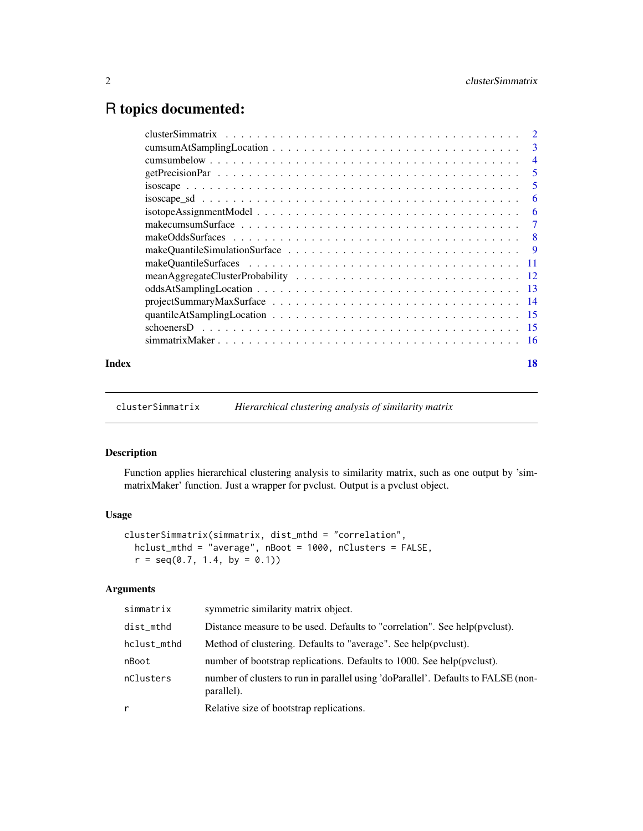### <span id="page-1-0"></span>R topics documented:

| Index | 18 |
|-------|----|

clusterSimmatrix *Hierarchical clustering analysis of similarity matrix*

#### Description

Function applies hierarchical clustering analysis to similarity matrix, such as one output by 'simmatrixMaker' function. Just a wrapper for pvclust. Output is a pvclust object.

#### Usage

```
clusterSimmatrix(simmatrix, dist_mthd = "correlation",
  hclust_mthd = "average", nBoot = 1000, nClusters = FALSE,
  r = \text{seq}(0.7, 1.4, \text{ by } = 0.1)
```
#### Arguments

| simmatrix   | symmetric similarity matrix object.                                                             |
|-------------|-------------------------------------------------------------------------------------------------|
| dist_mthd   | Distance measure to be used. Defaults to "correlation". See help(pyclust).                      |
| hclust_mthd | Method of clustering. Defaults to "average". See help(pvclust).                                 |
| nBoot       | number of bootstrap replications. Defaults to 1000. See help(pyclust).                          |
| nClusters   | number of clusters to run in parallel using 'doParallel'. Defaults to FALSE (non-<br>parallel). |
| r           | Relative size of bootstrap replications.                                                        |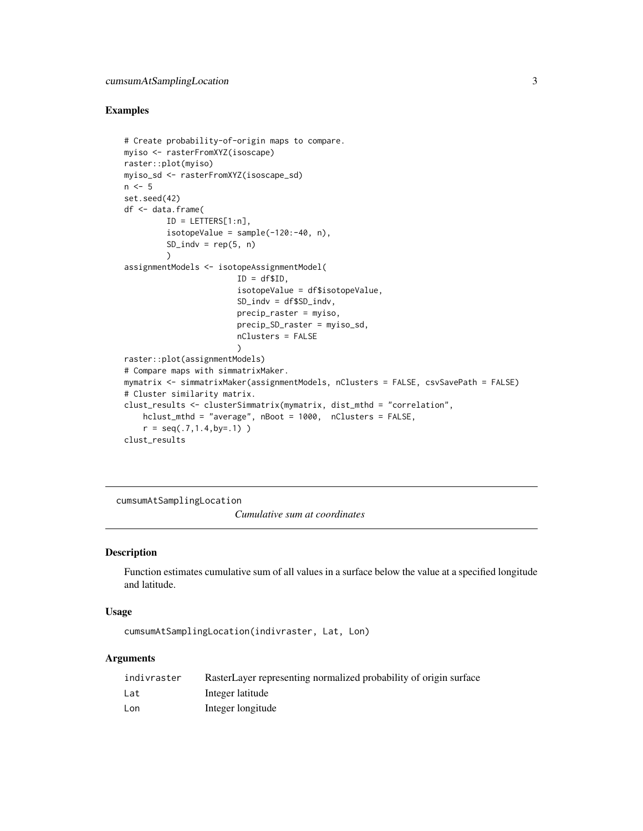#### <span id="page-2-0"></span>Examples

```
# Create probability-of-origin maps to compare.
myiso <- rasterFromXYZ(isoscape)
raster::plot(myiso)
myiso_sd <- rasterFromXYZ(isoscape_sd)
n \leq -5set.seed(42)
df <- data.frame(
         ID = LETTERS[1:n],isotopeValue = sample(-120:-40, n),SD\_indv = rep(5, n))
assignmentModels <- isotopeAssignmentModel(
                        ID = df$ID,
                        isotopeValue = df$isotopeValue,
                        SD_indv = df$SD_indv,
                        precip_raster = myiso,
                        precip_SD_raster = myiso_sd,
                        nClusters = FALSE
                        \lambdaraster::plot(assignmentModels)
# Compare maps with simmatrixMaker.
mymatrix <- simmatrixMaker(assignmentModels, nClusters = FALSE, csvSavePath = FALSE)
# Cluster similarity matrix.
clust_results <- clusterSimmatrix(mymatrix, dist_mthd = "correlation",
    hclust_mthd = "average", nBoot = 1000, nClusters = FALSE,
    r = \text{seq}(.7, 1.4, \text{by} = .1))
clust_results
```
cumsumAtSamplingLocation

*Cumulative sum at coordinates*

#### Description

Function estimates cumulative sum of all values in a surface below the value at a specified longitude and latitude.

#### Usage

cumsumAtSamplingLocation(indivraster, Lat, Lon)

#### Arguments

| indivraster | RasterLayer representing normalized probability of origin surface |
|-------------|-------------------------------------------------------------------|
| Lat         | Integer latitude                                                  |
| Lon         | Integer longitude                                                 |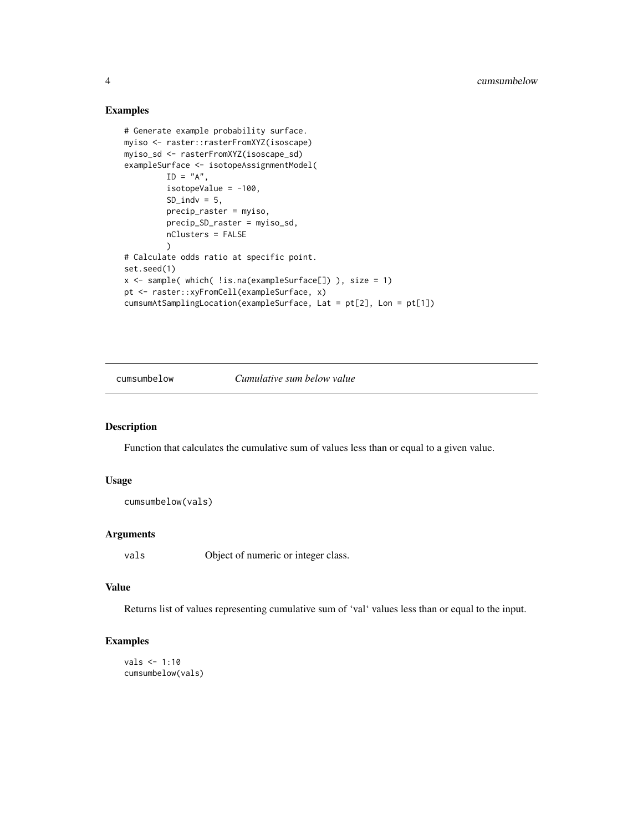#### Examples

```
# Generate example probability surface.
myiso <- raster::rasterFromXYZ(isoscape)
myiso_sd <- rasterFromXYZ(isoscape_sd)
exampleSurface <- isotopeAssignmentModel(
        ID = "A",isotopeValue = -100,
        SD\_indv = 5,
        precip_raster = myiso,
        precip_SD_raster = myiso_sd,
        nClusters = FALSE
        )
# Calculate odds ratio at specific point.
set.seed(1)
x <- sample( which( !is.na(exampleSurface[]) ), size = 1)
pt <- raster::xyFromCell(exampleSurface, x)
cumsumAtSamplingLocation(exampleSurface, Lat = pt[2], Lon = pt[1])
```
cumsumbelow *Cumulative sum below value*

#### Description

Function that calculates the cumulative sum of values less than or equal to a given value.

#### Usage

```
cumsumbelow(vals)
```
#### Arguments

vals Object of numeric or integer class.

#### Value

Returns list of values representing cumulative sum of 'val' values less than or equal to the input.

```
vals <- 1:10
cumsumbelow(vals)
```
<span id="page-3-0"></span>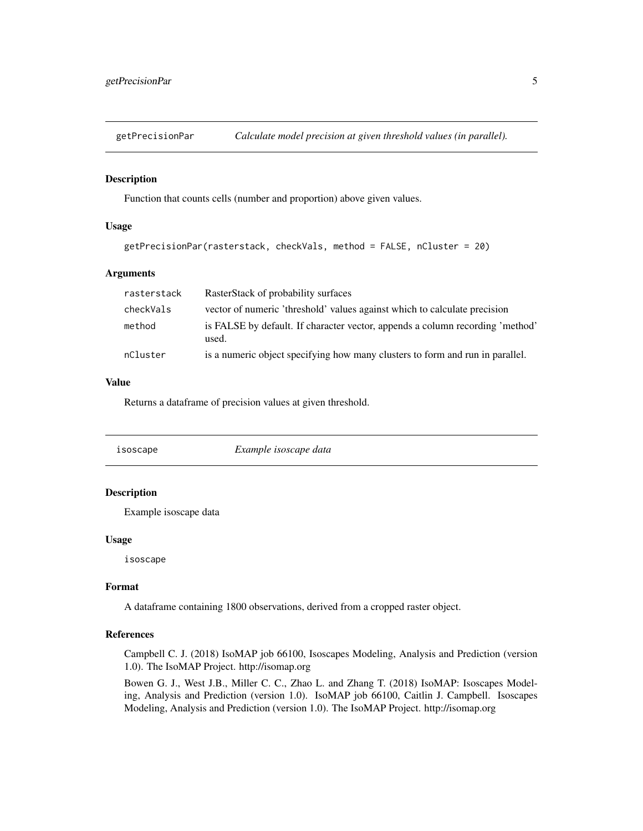<span id="page-4-0"></span>

#### Description

Function that counts cells (number and proportion) above given values.

#### Usage

```
getPrecisionPar(rasterstack, checkVals, method = FALSE, nCluster = 20)
```
#### Arguments

| rasterstack | RasterStack of probability surfaces                                                    |
|-------------|----------------------------------------------------------------------------------------|
| checkVals   | vector of numeric 'threshold' values against which to calculate precision              |
| method      | is FALSE by default. If character vector, appends a column recording 'method'<br>used. |
| nCluster    | is a numeric object specifying how many clusters to form and run in parallel.          |

#### Value

Returns a dataframe of precision values at given threshold.

isoscape *Example isoscape data*

#### Description

Example isoscape data

#### Usage

isoscape

#### Format

A dataframe containing 1800 observations, derived from a cropped raster object.

#### References

Campbell C. J. (2018) IsoMAP job 66100, Isoscapes Modeling, Analysis and Prediction (version 1.0). The IsoMAP Project. http://isomap.org

Bowen G. J., West J.B., Miller C. C., Zhao L. and Zhang T. (2018) IsoMAP: Isoscapes Modeling, Analysis and Prediction (version 1.0). IsoMAP job 66100, Caitlin J. Campbell. Isoscapes Modeling, Analysis and Prediction (version 1.0). The IsoMAP Project. http://isomap.org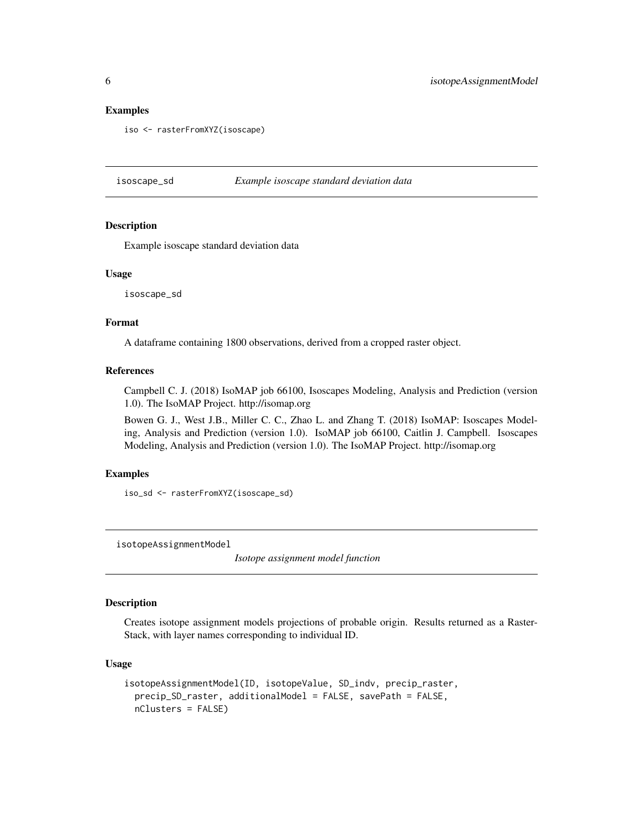#### Examples

iso <- rasterFromXYZ(isoscape)

isoscape\_sd *Example isoscape standard deviation data*

#### **Description**

Example isoscape standard deviation data

#### Usage

isoscape\_sd

#### Format

A dataframe containing 1800 observations, derived from a cropped raster object.

#### References

Campbell C. J. (2018) IsoMAP job 66100, Isoscapes Modeling, Analysis and Prediction (version 1.0). The IsoMAP Project. http://isomap.org

Bowen G. J., West J.B., Miller C. C., Zhao L. and Zhang T. (2018) IsoMAP: Isoscapes Modeling, Analysis and Prediction (version 1.0). IsoMAP job 66100, Caitlin J. Campbell. Isoscapes Modeling, Analysis and Prediction (version 1.0). The IsoMAP Project. http://isomap.org

#### Examples

iso\_sd <- rasterFromXYZ(isoscape\_sd)

isotopeAssignmentModel

*Isotope assignment model function*

#### Description

Creates isotope assignment models projections of probable origin. Results returned as a Raster-Stack, with layer names corresponding to individual ID.

#### Usage

```
isotopeAssignmentModel(ID, isotopeValue, SD_indv, precip_raster,
 precip_SD_raster, additionalModel = FALSE, savePath = FALSE,
 nClusters = FALSE)
```
<span id="page-5-0"></span>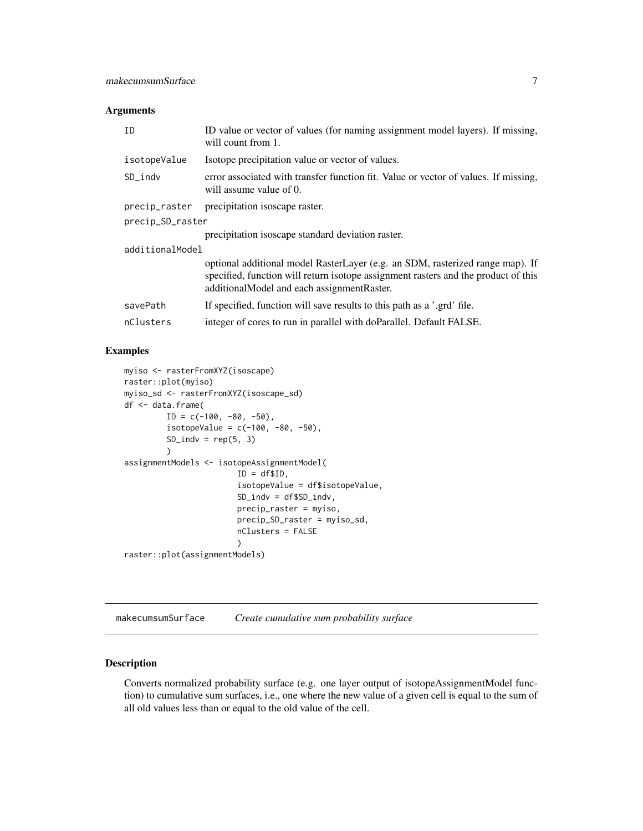#### <span id="page-6-0"></span>Arguments

| ID               | ID value or vector of values (for naming assignment model layers). If missing,<br>will count from 1.                                                                                                              |
|------------------|-------------------------------------------------------------------------------------------------------------------------------------------------------------------------------------------------------------------|
| isotopeValue     | Isotope precipitation value or vector of values.                                                                                                                                                                  |
| SD_indv          | error associated with transfer function fit. Value or vector of values. If missing,<br>will assume value of 0.                                                                                                    |
| precip_raster    | precipitation isoscape raster.                                                                                                                                                                                    |
| precip_SD_raster |                                                                                                                                                                                                                   |
|                  | precipitation isoscape standard deviation raster.                                                                                                                                                                 |
| additionalModel  |                                                                                                                                                                                                                   |
|                  | optional additional model RasterLayer (e.g. an SDM, rasterized range map). If<br>specified, function will return isotope assignment rasters and the product of this<br>additionalModel and each assignmentRaster. |
| savePath         | If specified, function will save results to this path as a '.grd' file.                                                                                                                                           |
| nClusters        | integer of cores to run in parallel with doParallel. Default FALSE.                                                                                                                                               |

#### Examples

```
myiso <- rasterFromXYZ(isoscape)
raster::plot(myiso)
myiso_sd <- rasterFromXYZ(isoscape_sd)
df <- data.frame(
        ID = c(-100, -80, -50),
         isotopeValue = c(-100, -80, -50),
        SD\_indv = rep(5, 3))
assignmentModels <- isotopeAssignmentModel(
                        ID = df$ID,isotopeValue = df$isotopeValue,
                        SD_indv = df$SD_indv,
                        precip_raster = myiso,
                        precip_SD_raster = myiso_sd,
                        nClusters = FALSE
                        )
raster::plot(assignmentModels)
```
makecumsumSurface *Create cumulative sum probability surface*

#### Description

Converts normalized probability surface (e.g. one layer output of isotopeAssignmentModel function) to cumulative sum surfaces, i.e., one where the new value of a given cell is equal to the sum of all old values less than or equal to the old value of the cell.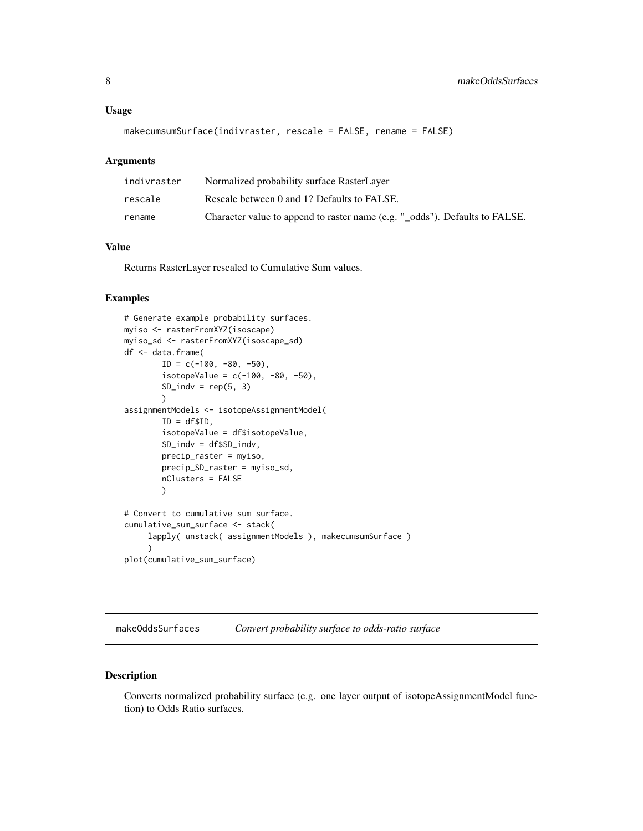#### <span id="page-7-0"></span>Usage

```
makecumsumSurface(indivraster, rescale = FALSE, rename = FALSE)
```
#### Arguments

| indivraster | Normalized probability surface RasterLayer                                  |
|-------------|-----------------------------------------------------------------------------|
| rescale     | Rescale between 0 and 1? Defaults to FALSE.                                 |
| rename      | Character value to append to raster name (e.g. " odds"). Defaults to FALSE. |

#### Value

Returns RasterLayer rescaled to Cumulative Sum values.

#### Examples

```
# Generate example probability surfaces.
myiso <- rasterFromXYZ(isoscape)
myiso_sd <- rasterFromXYZ(isoscape_sd)
df <- data.frame(
        ID = c(-100, -80, -50),
        isotopeValue = c(-100, -80, -50),
        SD\_indv = rep(5, 3))
assignmentModels <- isotopeAssignmentModel(
        ID = df$ID,
        isotopeValue = df$isotopeValue,
        SD_indv = df$SD_indv,
        precip_raster = myiso,
        precip_SD_raster = myiso_sd,
        nClusters = FALSE
        )
# Convert to cumulative sum surface.
cumulative_sum_surface <- stack(
     lapply( unstack( assignmentModels ), makecumsumSurface )
     )
plot(cumulative_sum_surface)
```
makeOddsSurfaces *Convert probability surface to odds-ratio surface*

#### Description

Converts normalized probability surface (e.g. one layer output of isotopeAssignmentModel function) to Odds Ratio surfaces.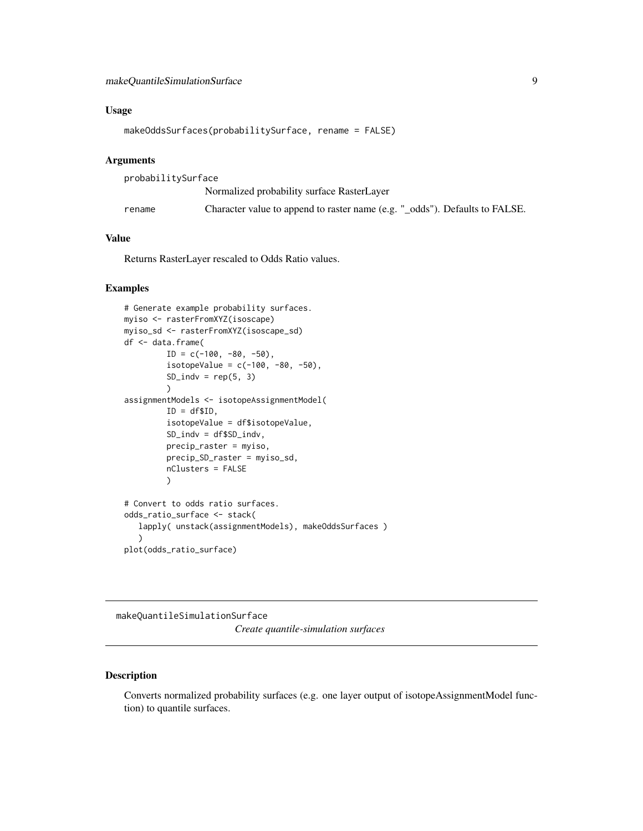#### <span id="page-8-0"></span>Usage

```
makeOddsSurfaces(probabilitySurface, rename = FALSE)
```
#### Arguments

| probabilitySurface |                                                                             |
|--------------------|-----------------------------------------------------------------------------|
|                    | Normalized probability surface RasterLayer                                  |
| rename             | Character value to append to raster name (e.g. "_odds"). Defaults to FALSE. |

#### Value

Returns RasterLayer rescaled to Odds Ratio values.

#### Examples

```
# Generate example probability surfaces.
myiso <- rasterFromXYZ(isoscape)
myiso_sd <- rasterFromXYZ(isoscape_sd)
df <- data.frame(
         ID = c(-100, -80, -50),
         isotopeValue = c(-100, -80, -50),
         SD\_indv = rep(5, 3))
assignmentModels <- isotopeAssignmentModel(
         ID = df$ID,isotopeValue = df$isotopeValue,
         SD_indv = df$SD_indv,
         precip_raster = myiso,
         precip_SD_raster = myiso_sd,
         nClusters = FALSE
         )
# Convert to odds ratio surfaces.
odds_ratio_surface <- stack(
   lapply( unstack(assignmentModels), makeOddsSurfaces )
   \lambdaplot(odds_ratio_surface)
```
makeQuantileSimulationSurface

*Create quantile-simulation surfaces*

#### Description

Converts normalized probability surfaces (e.g. one layer output of isotopeAssignmentModel function) to quantile surfaces.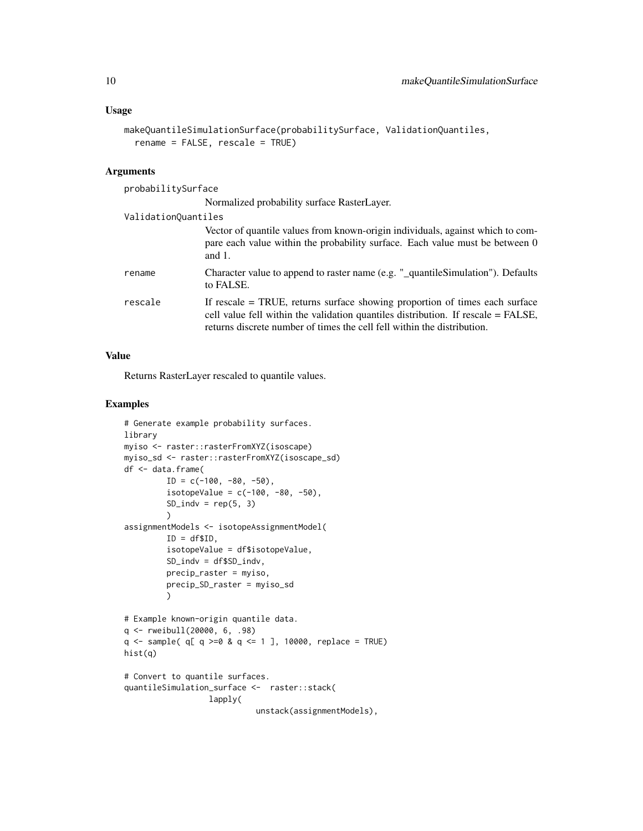#### Usage

```
makeQuantileSimulationSurface(probabilitySurface, ValidationQuantiles,
  rename = FALSE, rescale = TRUE)
```
#### Arguments

| probabilitySurface  |                                                                                                                                                                                                                                             |
|---------------------|---------------------------------------------------------------------------------------------------------------------------------------------------------------------------------------------------------------------------------------------|
|                     | Normalized probability surface RasterLayer.                                                                                                                                                                                                 |
| ValidationQuantiles |                                                                                                                                                                                                                                             |
|                     | Vector of quantile values from known-origin individuals, against which to com-<br>pare each value within the probability surface. Each value must be between 0<br>and $1$ .                                                                 |
| rename              | Character value to append to raster name (e.g. " quantile Simulation"). Defaults<br>to FALSE.                                                                                                                                               |
| rescale             | If rescale = TRUE, returns surface showing proportion of times each surface<br>cell value fell within the validation quantiles distribution. If rescale = FALSE,<br>returns discrete number of times the cell fell within the distribution. |

#### Value

Returns RasterLayer rescaled to quantile values.

```
# Generate example probability surfaces.
library
myiso <- raster::rasterFromXYZ(isoscape)
myiso_sd <- raster::rasterFromXYZ(isoscape_sd)
df <- data.frame(
         ID = c(-100, -80, -50),
         isotopeValue = c(-100, -80, -50),
         SD\_indv = rep(5, 3))
assignmentModels <- isotopeAssignmentModel(
         ID = df$ID,isotopeValue = df$isotopeValue,
         SD_indv = df$SD_indv,
         precip_raster = myiso,
         precip_SD_raster = myiso_sd
         \lambda# Example known-origin quantile data.
q <- rweibull(20000, 6, .98)
q \leq - sample( q[ q \geq -0 8 q \leq -1 ], 10000, replace = TRUE)
hist(q)
# Convert to quantile surfaces.
quantileSimulation_surface <- raster::stack(
                  lapply(
                            unstack(assignmentModels),
```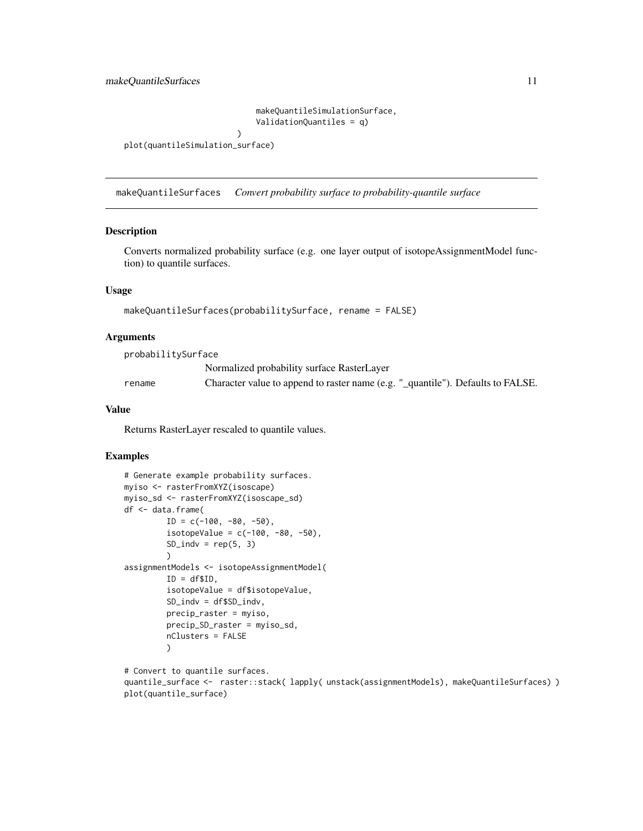makeQuantileSimulationSurface, ValidationQuantiles = q)

```
plot(quantileSimulation_surface)
```
)

makeQuantileSurfaces *Convert probability surface to probability-quantile surface*

#### Description

Converts normalized probability surface (e.g. one layer output of isotopeAssignmentModel function) to quantile surfaces.

#### Usage

makeQuantileSurfaces(probabilitySurface, rename = FALSE)

#### Arguments

| probabilitySurface |                                                                                 |
|--------------------|---------------------------------------------------------------------------------|
|                    | Normalized probability surface RasterLayer                                      |
| rename             | Character value to append to raster name (e.g. "_quantile"). Defaults to FALSE. |

#### Value

Returns RasterLayer rescaled to quantile values.

#### Examples

```
# Generate example probability surfaces.
myiso <- rasterFromXYZ(isoscape)
myiso_sd <- rasterFromXYZ(isoscape_sd)
df <- data.frame(
         ID = c(-100, -80, -50),
         isotopeValue = c(-100, -80, -50),
         SD\_indv = rep(5, 3))
assignmentModels <- isotopeAssignmentModel(
         ID = df$ID,
         isotopeValue = df$isotopeValue,
         SD_indv = df$SD_indv,
         precip_raster = myiso,
         precip_SD_raster = myiso_sd,
         nClusters = FALSE
         )
```
# Convert to quantile surfaces. quantile\_surface <- raster::stack( lapply( unstack(assignmentModels), makeQuantileSurfaces) ) plot(quantile\_surface)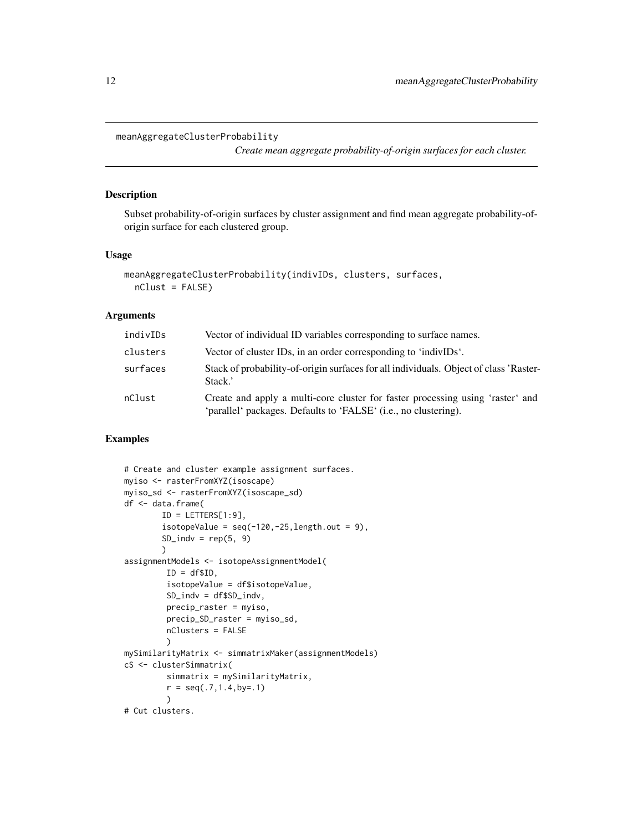```
meanAggregateClusterProbability
```
*Create mean aggregate probability-of-origin surfaces for each cluster.*

#### Description

Subset probability-of-origin surfaces by cluster assignment and find mean aggregate probability-oforigin surface for each clustered group.

#### Usage

```
meanAggregateClusterProbability(indivIDs, clusters, surfaces,
  nClust = FALSE)
```
#### Arguments

| indivIDs | Vector of individual ID variables corresponding to surface names.                                                                                 |
|----------|---------------------------------------------------------------------------------------------------------------------------------------------------|
| clusters | Vector of cluster IDs, in an order corresponding to 'indivIDs'.                                                                                   |
| surfaces | Stack of probability-of-origin surfaces for all individuals. Object of class 'Raster-<br>Stack.'                                                  |
| nClust   | Create and apply a multi-core cluster for faster processing using 'raster' and<br>'parallel' packages. Defaults to 'FALSE' (i.e., no clustering). |

```
# Create and cluster example assignment surfaces.
myiso <- rasterFromXYZ(isoscape)
myiso_sd <- rasterFromXYZ(isoscape_sd)
df <- data.frame(
        ID = LETTERS[1:9],isotopeValue = seq(-120, -25, length.out = 9),
        SD\_indv = rep(5, 9))
assignmentModels <- isotopeAssignmentModel(
         ID = df$ID,isotopeValue = df$isotopeValue,
         SD_indv = df$SD_indv,
         precip_raster = myiso,
         precip_SD_raster = myiso_sd,
         nClusters = FALSE
         )
mySimilarityMatrix <- simmatrixMaker(assignmentModels)
cS <- clusterSimmatrix(
         simmatrix = mySimilarityMatrix,
         r = \text{seq}(.7, 1.4, \text{by} = .1)\lambda# Cut clusters.
```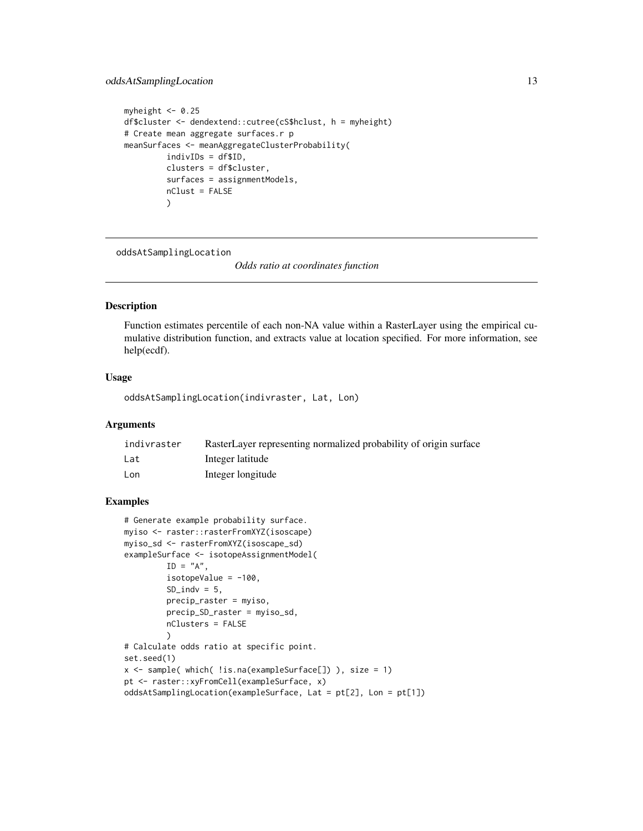#### <span id="page-12-0"></span>oddsAtSamplingLocation 13

```
myheight <- 0.25
df$cluster <- dendextend::cutree(cS$hclust, h = myheight)
# Create mean aggregate surfaces.r p
meanSurfaces <- meanAggregateClusterProbability(
         indivIDs = df$ID,
         clusters = df$cluster,
         surfaces = assignmentModels,
         nClust = FALSE
         )
```
oddsAtSamplingLocation

*Odds ratio at coordinates function*

#### Description

Function estimates percentile of each non-NA value within a RasterLayer using the empirical cumulative distribution function, and extracts value at location specified. For more information, see help(ecdf).

#### Usage

oddsAtSamplingLocation(indivraster, Lat, Lon)

#### Arguments

| indivraster | RasterLayer representing normalized probability of origin surface |
|-------------|-------------------------------------------------------------------|
| Lat         | Integer latitude                                                  |
| Lon         | Integer longitude                                                 |

```
# Generate example probability surface.
myiso <- raster::rasterFromXYZ(isoscape)
myiso_sd <- rasterFromXYZ(isoscape_sd)
exampleSurface <- isotopeAssignmentModel(
        ID = "A",isotopeValue = -100,
        SD\_indv = 5,
        precip_raster = myiso,
        precip_SD_raster = myiso_sd,
        nClusters = FALSE
        )
# Calculate odds ratio at specific point.
set.seed(1)
x <- sample( which( !is.na(exampleSurface[]) ), size = 1)
pt <- raster::xyFromCell(exampleSurface, x)
oddsAtSamplingLocation(exampleSurface, Lat = pt[2], Lon = pt[1])
```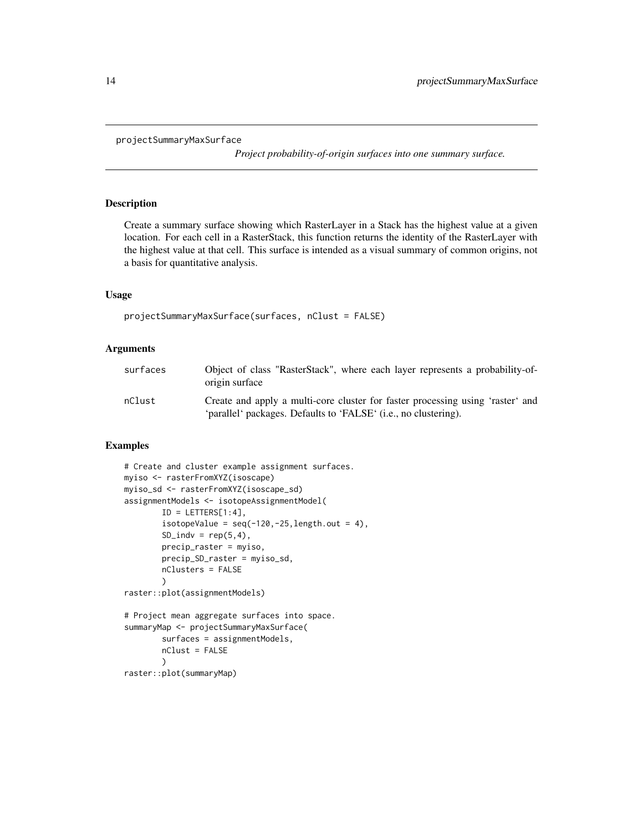```
projectSummaryMaxSurface
```
*Project probability-of-origin surfaces into one summary surface.*

#### Description

Create a summary surface showing which RasterLayer in a Stack has the highest value at a given location. For each cell in a RasterStack, this function returns the identity of the RasterLayer with the highest value at that cell. This surface is intended as a visual summary of common origins, not a basis for quantitative analysis.

#### Usage

```
projectSummaryMaxSurface(surfaces, nClust = FALSE)
```
#### **Arguments**

| surfaces | Object of class "RasterStack", where each layer represents a probability-of-<br>origin surface                                                    |
|----------|---------------------------------------------------------------------------------------------------------------------------------------------------|
| nClust   | Create and apply a multi-core cluster for faster processing using 'raster' and<br>'parallel' packages. Defaults to 'FALSE' (i.e., no clustering). |

```
# Create and cluster example assignment surfaces.
myiso <- rasterFromXYZ(isoscape)
myiso_sd <- rasterFromXYZ(isoscape_sd)
assignmentModels <- isotopeAssignmentModel(
        ID = LETTERS[1:4],isotopeValue = seq(-120, -25, length.out = 4),
        SD\_indv = rep(5, 4),
        precip_raster = myiso,
        precip_SD_raster = myiso_sd,
        nClusters = FALSE
        )
raster::plot(assignmentModels)
# Project mean aggregate surfaces into space.
summaryMap <- projectSummaryMaxSurface(
        surfaces = assignmentModels,
        nClust = FALSE
        )
raster::plot(summaryMap)
```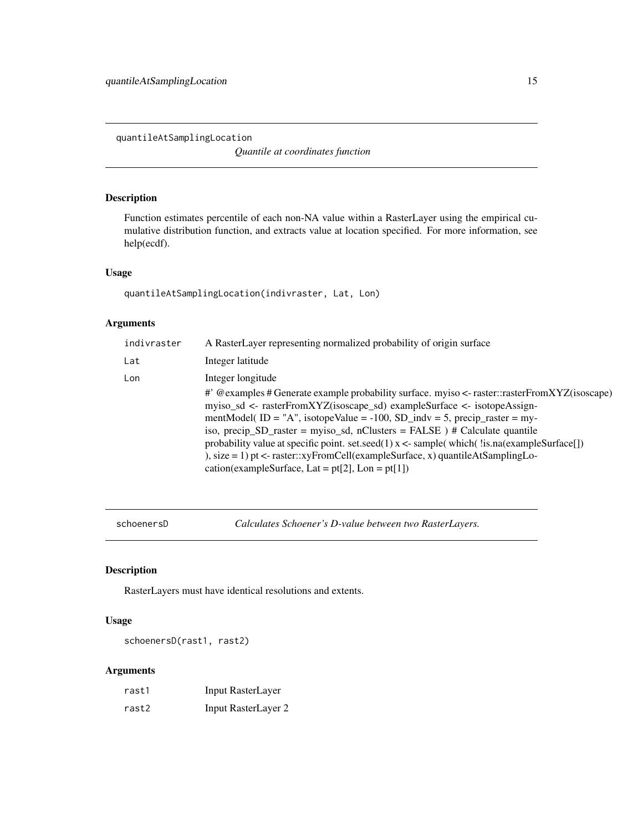<span id="page-14-0"></span>quantileAtSamplingLocation

*Quantile at coordinates function*

#### Description

Function estimates percentile of each non-NA value within a RasterLayer using the empirical cumulative distribution function, and extracts value at location specified. For more information, see help(ecdf).

#### Usage

quantileAtSamplingLocation(indivraster, Lat, Lon)

#### Arguments

| indivraster | A RasterLayer representing normalized probability of origin surface                                                                                                                                                                                                                                                                                                                                                                                                                                                                                                                     |
|-------------|-----------------------------------------------------------------------------------------------------------------------------------------------------------------------------------------------------------------------------------------------------------------------------------------------------------------------------------------------------------------------------------------------------------------------------------------------------------------------------------------------------------------------------------------------------------------------------------------|
| Lat         | Integer latitude                                                                                                                                                                                                                                                                                                                                                                                                                                                                                                                                                                        |
| Lon         | Integer longitude                                                                                                                                                                                                                                                                                                                                                                                                                                                                                                                                                                       |
|             | # @examples # Generate example probability surface. myiso <- raster::rasterFromXYZ(isoscape)<br>myiso_sd <- rasterFromXYZ(isoscape_sd) exampleSurface <- isotopeAssign-<br>mentModel(ID = "A", isotopeValue = $-100$ , SD_indv = 5, precip_raster = my-<br>iso, precip_SD_raster = myiso_sd, nClusters = $FALSE$ ) # Calculate quantile<br>probability value at specific point. set.seed(1) $x \leq$ -sample(which(!is.na(exampleSurface[])<br>), size = 1) pt <- raster::xyFromCell(exampleSurface, x) quantileAtSamplingLo-<br>cation(exampleSurface, Lat = $pt[2]$ , Lon = $pt[1]$ ) |

schoenersD *Calculates Schoener's D-value between two RasterLayers.*

#### Description

RasterLayers must have identical resolutions and extents.

#### Usage

schoenersD(rast1, rast2)

#### Arguments

| rast1 | Input RasterLayer   |
|-------|---------------------|
| rast2 | Input RasterLayer 2 |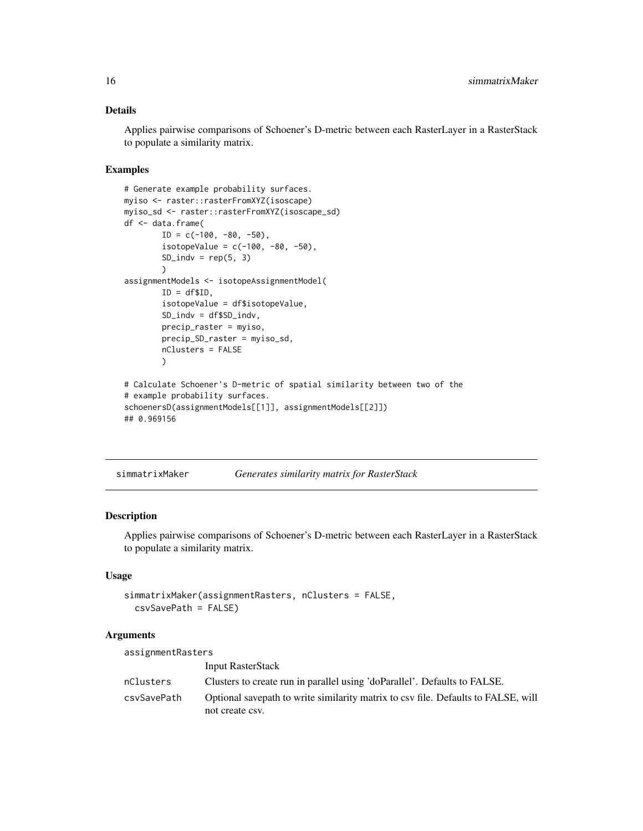#### <span id="page-15-0"></span>Details

Applies pairwise comparisons of Schoener's D-metric between each RasterLayer in a RasterStack to populate a similarity matrix.

#### Examples

```
# Generate example probability surfaces.
myiso <- raster::rasterFromXYZ(isoscape)
myiso_sd <- raster::rasterFromXYZ(isoscape_sd)
df <- data.frame(
        ID = c(-100, -80, -50),
        isotopeValue = c(-100, -80, -50),
        SD\_indv = rep(5, 3)\lambdaassignmentModels <- isotopeAssignmentModel(
        ID = df$ID,isotopeValue = df$isotopeValue,
        SD_indv = df$SD_indv,
        precip_raster = myiso,
        precip_SD_raster = myiso_sd,
        nClusters = FALSE
        \lambda# Calculate Schoener's D-metric of spatial similarity between two of the
# example probability surfaces.
schoenersD(assignmentModels[[1]], assignmentModels[[2]])
## 0.969156
```
simmatrixMaker *Generates similarity matrix for RasterStack*

#### Description

Applies pairwise comparisons of Schoener's D-metric between each RasterLayer in a RasterStack to populate a similarity matrix.

#### Usage

```
simmatrixMaker(assignmentRasters, nClusters = FALSE,
 csvSavePath = FALSE)
```
#### **Arguments**

assignmentRasters Input RasterStack nClusters Clusters to create run in parallel using 'doParallel'. Defaults to FALSE. csvSavePath Optional savepath to write similarity matrix to csv file. Defaults to FALSE, will not create csv.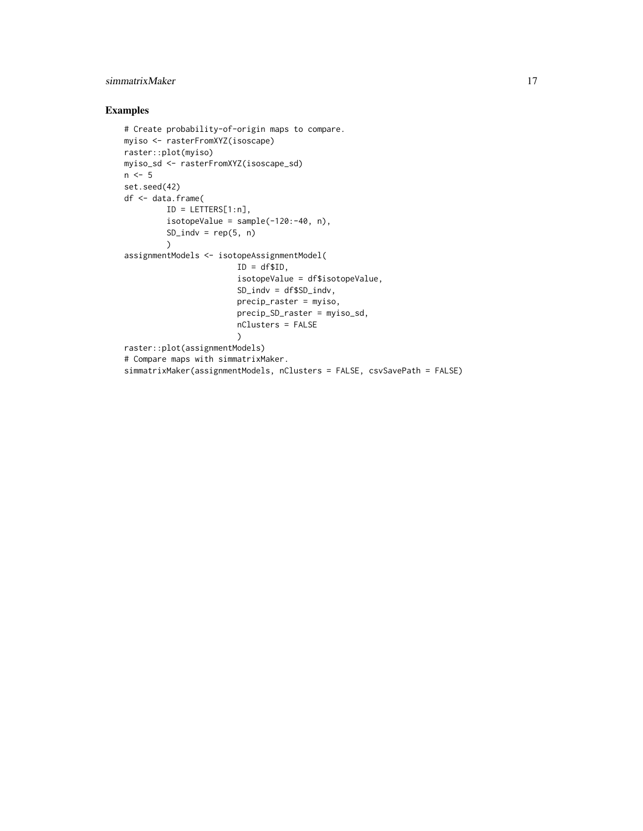#### simmatrixMaker 17

```
# Create probability-of-origin maps to compare.
myiso <- rasterFromXYZ(isoscape)
raster::plot(myiso)
myiso_sd <- rasterFromXYZ(isoscape_sd)
n < -5set.seed(42)
df <- data.frame(
        ID = LETTERS[1:n],
         isotopeValue = sample(-120:-40, n),
         SD\_indv = rep(5, n)\lambdaassignmentModels <- isotopeAssignmentModel(
                        ID = df$ID,isotopeValue = df$isotopeValue,
                        SD_indv = df$SD_indv,
                        precip_raster = myiso,
                        precip_SD_raster = myiso_sd,
                        nClusters = FALSE
                        \lambdaraster::plot(assignmentModels)
# Compare maps with simmatrixMaker.
simmatrixMaker(assignmentModels, nClusters = FALSE, csvSavePath = FALSE)
```